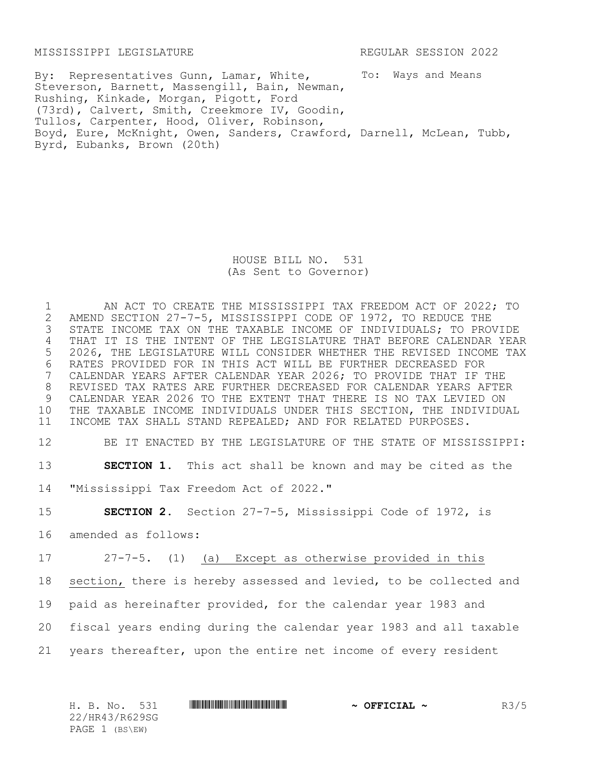MISSISSIPPI LEGISLATURE REGULAR SESSION 2022

To: Ways and Means By: Representatives Gunn, Lamar, White, Steverson, Barnett, Massengill, Bain, Newman, Rushing, Kinkade, Morgan, Pigott, Ford (73rd), Calvert, Smith, Creekmore IV, Goodin, Tullos, Carpenter, Hood, Oliver, Robinson, Boyd, Eure, McKnight, Owen, Sanders, Crawford, Darnell, McLean, Tubb, Byrd, Eubanks, Brown (20th)

> HOUSE BILL NO. 531 (As Sent to Governor)

1 AN ACT TO CREATE THE MISSISSIPPI TAX FREEDOM ACT OF 2022; TO<br>2 AMEND SECTION 27-7-5, MISSISSIPPI CODE OF 1972, TO REDUCE THE 2 AMEND SECTION 27-7-5, MISSISSIPPI CODE OF 1972, TO REDUCE THE<br>3 STATE INCOME TAX ON THE TAXABLE INCOME OF INDIVIDUALS; TO PRO STATE INCOME TAX ON THE TAXABLE INCOME OF INDIVIDUALS; TO PROVIDE THAT IT IS THE INTENT OF THE LEGISLATURE THAT BEFORE CALENDAR YEAR 2026, THE LEGISLATURE WILL CONSIDER WHETHER THE REVISED INCOME TAX 6 RATES PROVIDED FOR IN THIS ACT WILL BE FURTHER DECREASED FOR<br>7 CALENDAR YEARS AFTER CALENDAR YEAR 2026; TO PROVIDE THAT IF ! CALENDAR YEARS AFTER CALENDAR YEAR 2026; TO PROVIDE THAT IF THE REVISED TAX RATES ARE FURTHER DECREASED FOR CALENDAR YEARS AFTER CALENDAR YEAR 2026 TO THE EXTENT THAT THERE IS NO TAX LEVIED ON THE TAXABLE INCOME INDIVIDUALS UNDER THIS SECTION, THE INDIVIDUAL INCOME TAX SHALL STAND REPEALED; AND FOR RELATED PURPOSES.

12 BE IT ENACTED BY THE LEGISLATURE OF THE STATE OF MISSISSIPPI:

13 **SECTION 1.** This act shall be known and may be cited as the

14 "Mississippi Tax Freedom Act of 2022."

15 **SECTION 2.** Section 27-7-5, Mississippi Code of 1972, is

16 amended as follows:

 27-7-5. (1) (a) Except as otherwise provided in this section, there is hereby assessed and levied, to be collected and paid as hereinafter provided, for the calendar year 1983 and fiscal years ending during the calendar year 1983 and all taxable years thereafter, upon the entire net income of every resident

H. B. No. 531 \*HR43/R629SG\* **~ OFFICIAL ~** R3/5 22/HR43/R629SG PAGE 1 (BS\EW)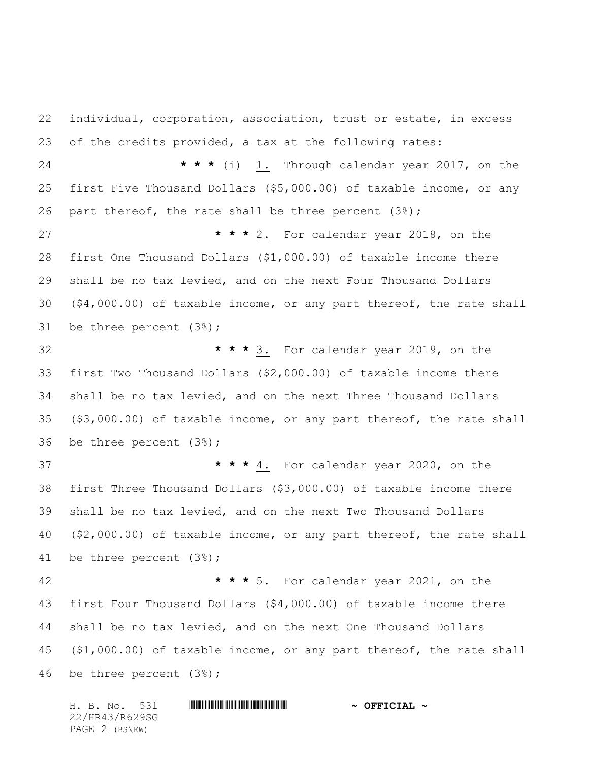individual, corporation, association, trust or estate, in excess of the credits provided, a tax at the following rates: **\* \* \*** (i) 1. Through calendar year 2017, on the first Five Thousand Dollars (\$5,000.00) of taxable income, or any 26 part thereof, the rate shall be three percent  $(3*)$ ; **\* \* \*** 2. For calendar year 2018, on the first One Thousand Dollars (\$1,000.00) of taxable income there shall be no tax levied, and on the next Four Thousand Dollars (\$4,000.00) of taxable income, or any part thereof, the rate shall be three percent (3%); **\* \* \*** 3. For calendar year 2019, on the first Two Thousand Dollars (\$2,000.00) of taxable income there shall be no tax levied, and on the next Three Thousand Dollars (\$3,000.00) of taxable income, or any part thereof, the rate shall be three percent (3%); **\* \* \*** 4. For calendar year 2020, on the first Three Thousand Dollars (\$3,000.00) of taxable income there shall be no tax levied, and on the next Two Thousand Dollars (\$2,000.00) of taxable income, or any part thereof, the rate shall be three percent (3%); **\* \* \*** 5. For calendar year 2021, on the first Four Thousand Dollars (\$4,000.00) of taxable income there shall be no tax levied, and on the next One Thousand Dollars (\$1,000.00) of taxable income, or any part thereof, the rate shall be three percent (3%);

H. B. No. 531 **. HR43 SGEET ALL AND SGEET ALL AND SGEET ALL AND SGEET ALL AND SGEET ALL AND SGEET ALL AND SGEET ALL AND SGEET ALL AND SGEET ALL AND SGEET ALL AND SGEET ALL AND SGEET ALL AND SGEET ALL AND SGEET ALL AND SGEE** 22/HR43/R629SG PAGE 2 (BS\EW)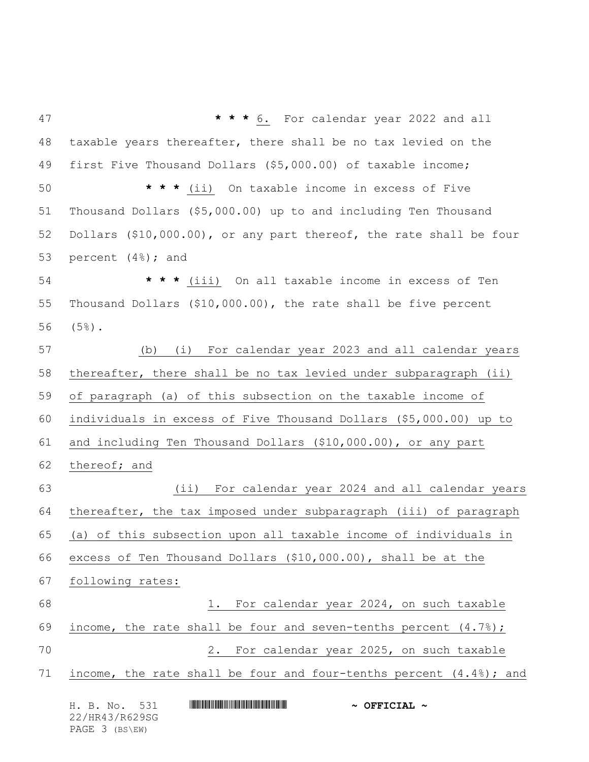H. B. No. 531 **. HRANGE REAL AND A SECONDER FOR SECONDER A \* \* \*** 6. For calendar year 2022 and all taxable years thereafter, there shall be no tax levied on the first Five Thousand Dollars (\$5,000.00) of taxable income; **\* \* \*** (ii) On taxable income in excess of Five Thousand Dollars (\$5,000.00) up to and including Ten Thousand Dollars (\$10,000.00), or any part thereof, the rate shall be four percent (4%); and **\* \* \*** (iii) On all taxable income in excess of Ten Thousand Dollars (\$10,000.00), the rate shall be five percent (5%). (b) (i) For calendar year 2023 and all calendar years thereafter, there shall be no tax levied under subparagraph (ii) of paragraph (a) of this subsection on the taxable income of individuals in excess of Five Thousand Dollars (\$5,000.00) up to and including Ten Thousand Dollars (\$10,000.00), or any part thereof; and (ii) For calendar year 2024 and all calendar years thereafter, the tax imposed under subparagraph (iii) of paragraph (a) of this subsection upon all taxable income of individuals in excess of Ten Thousand Dollars (\$10,000.00), shall be at the following rates: 1. For calendar year 2024, on such taxable 69 income, the rate shall be four and seven-tenths percent  $(4.7%)$ ; 2. For calendar year 2025, on such taxable 71 income, the rate shall be four and four-tenths percent  $(4.4%)$ ; and

22/HR43/R629SG PAGE 3 (BS\EW)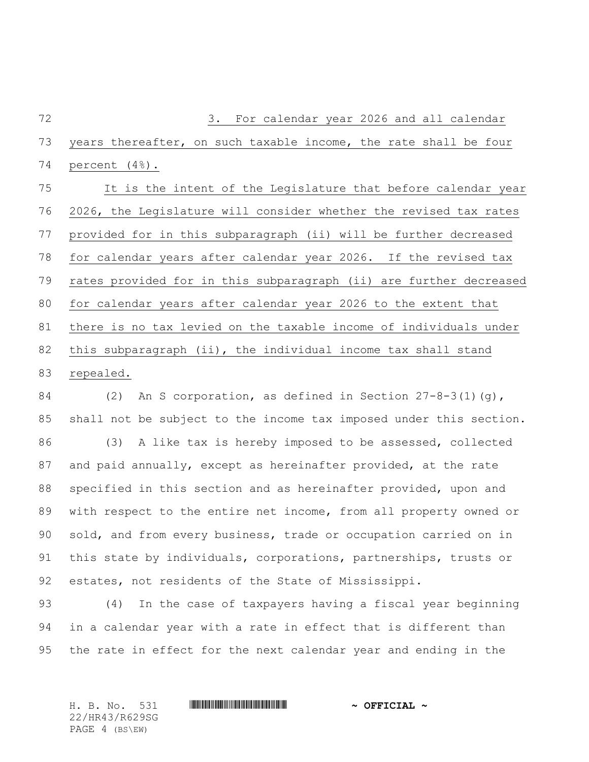3. For calendar year 2026 and all calendar years thereafter, on such taxable income, the rate shall be four percent (4%). It is the intent of the Legislature that before calendar year 2026, the Legislature will consider whether the revised tax rates provided for in this subparagraph (ii) will be further decreased for calendar years after calendar year 2026. If the revised tax rates provided for in this subparagraph (ii) are further decreased for calendar years after calendar year 2026 to the extent that there is no tax levied on the taxable income of individuals under this subparagraph (ii), the individual income tax shall stand repealed. (2) An S corporation, as defined in Section 27-8-3(1)(g),

 shall not be subject to the income tax imposed under this section. (3) A like tax is hereby imposed to be assessed, collected and paid annually, except as hereinafter provided, at the rate specified in this section and as hereinafter provided, upon and with respect to the entire net income, from all property owned or sold, and from every business, trade or occupation carried on in this state by individuals, corporations, partnerships, trusts or estates, not residents of the State of Mississippi.

 (4) In the case of taxpayers having a fiscal year beginning in a calendar year with a rate in effect that is different than the rate in effect for the next calendar year and ending in the

22/HR43/R629SG PAGE 4 (BS\EW)

## H. B. No. 531 \*HR43/R629SG\* **~ OFFICIAL ~**